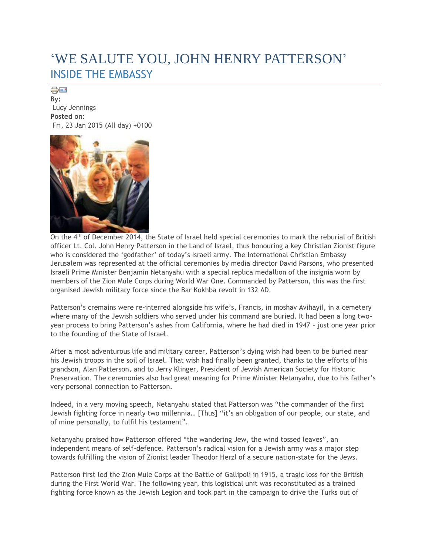## 'WE SALUTE YOU, JOHN HENRY PATTERSON' INSIDE THE EMBASSY

de = 1 **By:** Lucy Jennings **Posted on:** Fri, 23 Jan 2015 (All day) +0100



On the 4th of December 2014, the State of Israel held special ceremonies to mark the reburial of British officer Lt. Col. John Henry Patterson in the Land of Israel, thus honouring a key Christian Zionist figure who is considered the 'godfather' of today's Israeli army. The International Christian Embassy Jerusalem was represented at the official ceremonies by media director David Parsons, who presented Israeli Prime Minister Benjamin Netanyahu with a special replica medallion of the insignia worn by members of the Zion Mule Corps during World War One. Commanded by Patterson, this was the first organised Jewish military force since the Bar Kokhba revolt in 132 AD.

Patterson's cremains were re-interred alongside his wife's, Francis, in moshav Avihayil, in a cemetery where many of the Jewish soldiers who served under his command are buried. It had been a long twoyear process to bring Patterson's ashes from California, where he had died in 1947 – just one year prior to the founding of the State of Israel.

After a most adventurous life and military career, Patterson's dying wish had been to be buried near his Jewish troops in the soil of Israel. That wish had finally been granted, thanks to the efforts of his grandson, Alan Patterson, and to Jerry Klinger, President of Jewish American Society for Historic Preservation. The ceremonies also had great meaning for Prime Minister Netanyahu, due to his father's very personal connection to Patterson.

Indeed, in a very moving speech, Netanyahu stated that Patterson was "the commander of the first Jewish fighting force in nearly two millennia… [Thus] "it's an obligation of our people, our state, and of mine personally, to fulfil his testament".

Netanyahu praised how Patterson offered "the wandering Jew, the wind tossed leaves", an independent means of self-defence. Patterson's radical vision for a Jewish army was a major step towards fulfilling the vision of Zionist leader Theodor Herzl of a secure nation-state for the Jews.

Patterson first led the Zion Mule Corps at the Battle of Gallipoli in 1915, a tragic loss for the British during the First World War. The following year, this logistical unit was reconstituted as a trained fighting force known as the Jewish Legion and took part in the campaign to drive the Turks out of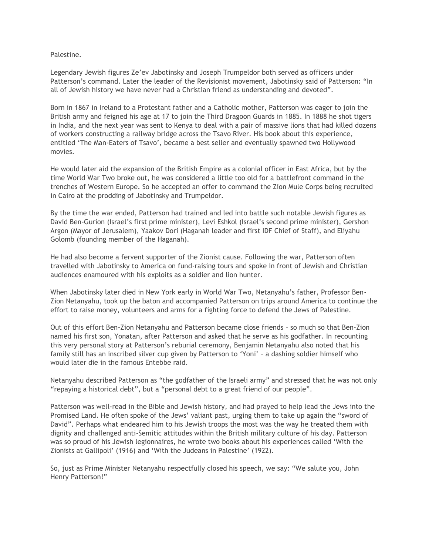Palestine.

Legendary Jewish figures Ze'ev Jabotinsky and Joseph Trumpeldor both served as officers under Patterson's command. Later the leader of the Revisionist movement, Jabotinsky said of Patterson: "In all of Jewish history we have never had a Christian friend as understanding and devoted".

Born in 1867 in Ireland to a Protestant father and a Catholic mother, Patterson was eager to join the British army and feigned his age at 17 to join the Third Dragoon Guards in 1885. In 1888 he shot tigers in India, and the next year was sent to Kenya to deal with a pair of massive lions that had killed dozens of workers constructing a railway bridge across the Tsavo River. His book about this experience, entitled 'The Man-Eaters of Tsavo', became a best seller and eventually spawned two Hollywood movies.

He would later aid the expansion of the British Empire as a colonial officer in East Africa, but by the time World War Two broke out, he was considered a little too old for a battlefront command in the trenches of Western Europe. So he accepted an offer to command the Zion Mule Corps being recruited in Cairo at the prodding of Jabotinsky and Trumpeldor.

By the time the war ended, Patterson had trained and led into battle such notable Jewish figures as David Ben-Gurion (Israel's first prime minister), Levi Eshkol (Israel's second prime minister), Gershon Argon (Mayor of Jerusalem), Yaakov Dori (Haganah leader and first IDF Chief of Staff), and Eliyahu Golomb (founding member of the Haganah).

He had also become a fervent supporter of the Zionist cause. Following the war, Patterson often travelled with Jabotinsky to America on fund-raising tours and spoke in front of Jewish and Christian audiences enamoured with his exploits as a soldier and lion hunter.

When Jabotinsky later died in New York early in World War Two, Netanyahu's father, Professor Ben-Zion Netanyahu, took up the baton and accompanied Patterson on trips around America to continue the effort to raise money, volunteers and arms for a fighting force to defend the Jews of Palestine.

Out of this effort Ben-Zion Netanyahu and Patterson became close friends – so much so that Ben-Zion named his first son, Yonatan, after Patterson and asked that he serve as his godfather. In recounting this very personal story at Patterson's reburial ceremony, Benjamin Netanyahu also noted that his family still has an inscribed silver cup given by Patterson to 'Yoni' – a dashing soldier himself who would later die in the famous Entebbe raid.

Netanyahu described Patterson as "the godfather of the Israeli army" and stressed that he was not only "repaying a historical debt", but a "personal debt to a great friend of our people".

Patterson was well-read in the Bible and Jewish history, and had prayed to help lead the Jews into the Promised Land. He often spoke of the Jews' valiant past, urging them to take up again the "sword of David". Perhaps what endeared him to his Jewish troops the most was the way he treated them with dignity and challenged anti-Semitic attitudes within the British military culture of his day. Patterson was so proud of his Jewish legionnaires, he wrote two books about his experiences called 'With the Zionists at Gallipoli' (1916) and 'With the Judeans in Palestine' (1922).

So, just as Prime Minister Netanyahu respectfully closed his speech, we say: "We salute you, John Henry Patterson!"